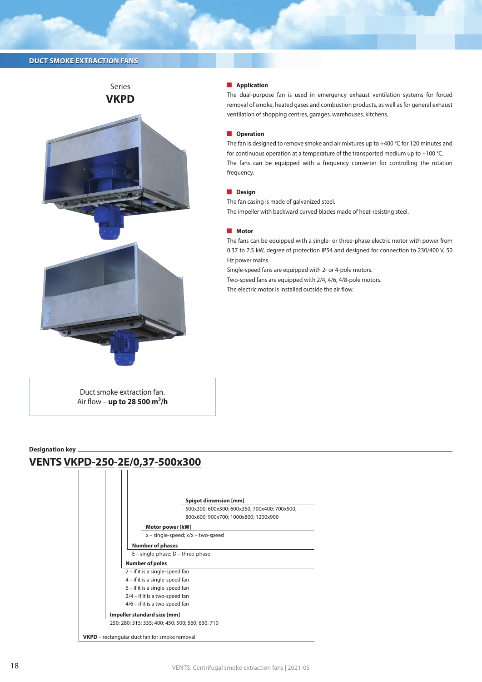# **DUCT SMOKE EXTRACTION FANS**



 $\blacksquare$  Application

The dual-purpose fan is used in emergency exhaust ventilation systems for forced removal of smoke, heated gases and combustion products, as well as for general exhaust ventilation of shopping centres, garages, warehouses, kitchens.

### **D** Operation

The fan is designed to remove smoke and air mixtures up to +400 °C for 120 minutes and for continuous operation at a temperature of the transported medium up to +100 °C. The fans can be equipped with a frequency converter for controlling the rotation frequency.

## **Design**

The fan casing is made of galvanized steel. The impeller with backward curved blades made of heat-resisting steel.

#### **Notor**

The fans can be equipped with a single- or three-phase electric motor with power from 0.37 to 7.5 kW, degree of protection IP54 and designed for connection to 230/400 V, 50 Hz power mains.

Single-speed fans are equipped with 2- or 4-pole motors.

Two-speed fans are equipped with 2/4, 4/6, 4/8-pole motors.

The electric motor is installed outside the air flow.

Duct smoke extraction fan. Air flow – **up to 28 500 m3/h**

### **Designation key**

# **VENTS VKPD-250-2E/0,37-500x300**

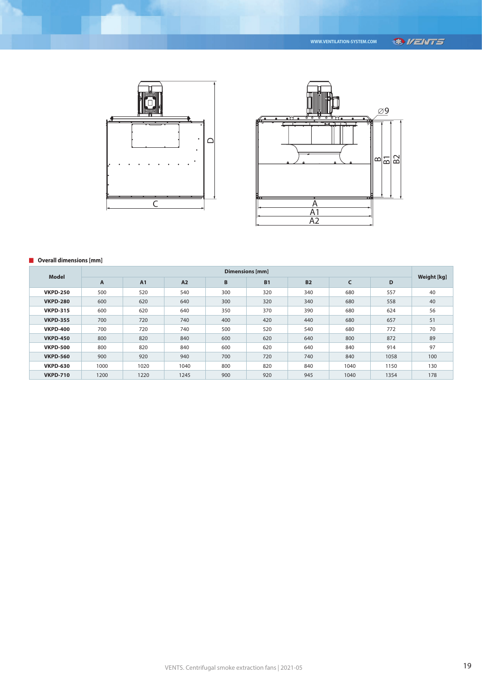



## **D** Overall dimensions [mm]

| <b>Model</b>    | Dimensions [mm] |           |      |     |           |           |      |      |             |
|-----------------|-----------------|-----------|------|-----|-----------|-----------|------|------|-------------|
|                 | $\mathsf{A}$    | <b>A1</b> | A2   | B   | <b>B1</b> | <b>B2</b> | C    | D    | Weight [kg] |
| <b>VKPD-250</b> | 500             | 520       | 540  | 300 | 320       | 340       | 680  | 557  | 40          |
| <b>VKPD-280</b> | 600             | 620       | 640  | 300 | 320       | 340       | 680  | 558  | 40          |
| <b>VKPD-315</b> | 600             | 620       | 640  | 350 | 370       | 390       | 680  | 624  | 56          |
| <b>VKPD-355</b> | 700             | 720       | 740  | 400 | 420       | 440       | 680  | 657  | 51          |
| <b>VKPD-400</b> | 700             | 720       | 740  | 500 | 520       | 540       | 680  | 772  | 70          |
| <b>VKPD-450</b> | 800             | 820       | 840  | 600 | 620       | 640       | 800  | 872  | 89          |
| <b>VKPD-500</b> | 800             | 820       | 840  | 600 | 620       | 640       | 840  | 914  | 97          |
| <b>VKPD-560</b> | 900             | 920       | 940  | 700 | 720       | 740       | 840  | 1058 | 100         |
| <b>VKPD-630</b> | 1000            | 1020      | 1040 | 800 | 820       | 840       | 1040 | 1150 | 130         |
| <b>VKPD-710</b> | 1200            | 1220      | 1245 | 900 | 920       | 945       | 1040 | 1354 | 178         |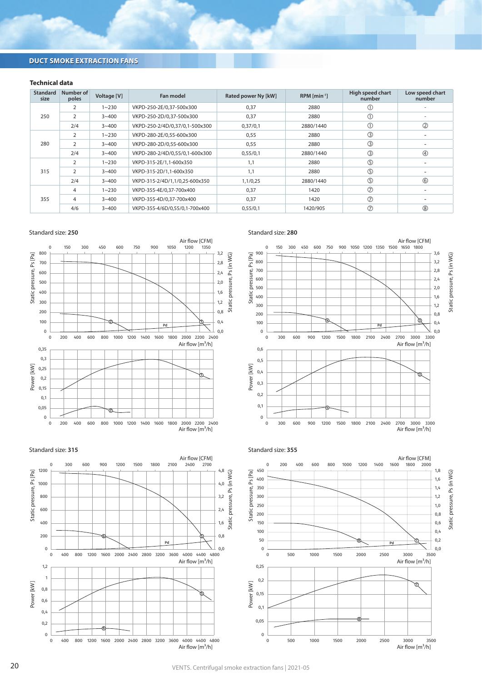# **DUCT SMOKE EXTRACTION FANS**

## **Technical data**

| <b>Standard</b><br>size | Number of<br>poles | Voltage [V] | Fan model                      | Rated power Ny [kW] | $RPM$ [min <sup>-1</sup> ] | High speed chart<br>number | Low speed chart<br>number |
|-------------------------|--------------------|-------------|--------------------------------|---------------------|----------------------------|----------------------------|---------------------------|
| 250                     |                    | $1 - 230$   | VKPD-250-2E/0,37-500x300       | 0,37                | 2880                       | ①                          |                           |
|                         | $\overline{2}$     | $3 - 400$   | VKPD-250-2D/0.37-500x300       | 0,37                | 2880                       | $^\circledR$               |                           |
|                         | 2/4                | $3 - 400$   | VKPD-250-2/4D/0,37/0,1-500x300 | 0,37/0,1            | 2880/1440                  | $\circled{0}$              | $\circled{2}$             |
| 280                     | 2                  | $1 - 230$   | VKPD-280-2E/0,55-600x300       | 0,55                | 2880                       | $\circledS$                |                           |
|                         | $\overline{2}$     | $3 - 400$   | VKPD-280-2D/0.55-600x300       | 0,55                | 2880                       | $\circled{3}$              |                           |
|                         | 2/4                | $3 - 400$   | VKPD-280-2/4D/0,55/0,1-600x300 | 0,55/0,1            | 2880/1440                  | $\circledS$                | $\circledA$               |
| 315                     | $\overline{2}$     | $1 - 230$   | VKPD-315-2E/1,1-600x350        | 1,1                 | 2880                       | $\circledS$                |                           |
|                         | $\overline{2}$     | $3 - 400$   | VKPD-315-2D/1.1-600x350        | 1.1                 | 2880                       | $\circledS$                |                           |
|                         | 2/4                | $3 - 400$   | VKPD-315-2/4D/1,1/0,25-600x350 | 1,1/0,25            | 2880/1440                  | $\circledS$                | $\circledS$               |
| 355                     | 4                  | $1 - 230$   | VKPD-355-4E/0.37-700x400       | 0,37                | 1420                       | $^{\circ}$                 |                           |
|                         | 4                  | $3 - 400$   | VKPD-355-4D/0,37-700x400       | 0,37                | 1420                       | $\circledcirc$             |                           |
|                         | 4/6                | $3 - 400$   | VKPD-355-4/6D/0,55/0,1-700x400 | 0,55/0,1            | 1420/905                   | $\circledcirc$             | (8)                       |







Standard size: **280**







20 VENTS. Centrifugal smoke extraction fans | 2021-05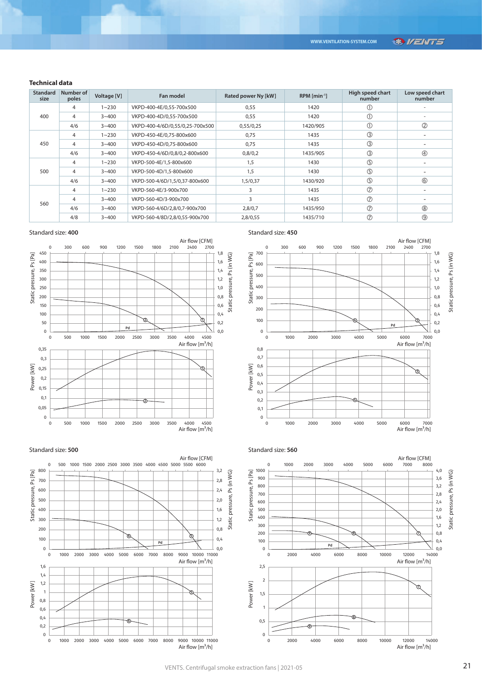## **SRI/ENT5**

## **Technical data**

| <b>Standard</b><br>size | Number of<br>poles | Voltage [V] | Fan model                       | Rated power Ny [kW] | $RPM$ [min <sup>-1</sup> ] | High speed chart<br>number | Low speed chart<br>number |
|-------------------------|--------------------|-------------|---------------------------------|---------------------|----------------------------|----------------------------|---------------------------|
| 400                     | 4                  | $1 - 230$   | VKPD-400-4E/0,55-700x500        | 0,55                | 1420                       | ➀                          |                           |
|                         | 4                  | $3 - 400$   | VKPD-400-4D/0.55-700x500        | 0,55                | 1420                       | $\circled{0}$              |                           |
|                         | 4/6                | $3 - 400$   | VKPD-400-4/6D/0,55/0,25-700x500 | 0,55/0,25           | 1420/905                   | $\circled{0}$              | $\circled{2}$             |
|                         | 4                  | $1 - 230$   | VKPD-450-4E/0.75-800x600        | 0,75                | 1435                       | $\circled{3}$              |                           |
| 450                     | 4                  | $3 - 400$   | VKPD-450-4D/0.75-800x600        | 0.75                | 1435                       | $\circledS$                |                           |
|                         | 4/6                | $3 - 400$   | VKPD-450-4/6D/0,8/0,2-800x600   | 0,8/0,2             | 1435/905                   | $\circledS$                | $\circledA$               |
| 500                     | 4                  | $1 - 230$   | VKPD-500-4E/1,5-800x600         | 1,5                 | 1430                       | $\circledS$                |                           |
|                         | 4                  | $3 - 400$   | VKPD-500-4D/1.5-800x600         | 1.5                 | 1430                       | $\circledS$                |                           |
|                         | 4/6                | $3 - 400$   | VKPD-500-4/6D/1,5/0,37-800x600  | 1,5/0,37            | 1430/920                   | $\circledS$                | $\circledS$               |
| 560                     | 4                  | $1 - 230$   | VKPD-560-4E/3-900x700           | 3                   | 1435                       | $\circledcirc$             |                           |
|                         | 4                  | $3 - 400$   | VKPD-560-4D/3-900x700           | 3                   | 1435                       | $\circledcirc$             |                           |
|                         | 4/6                | $3 - 400$   | VKPD-560-4/6D/2,8/0,7-900x700   | 2,8/0,7             | 1435/950                   | $\circledcirc$             | (8)                       |
|                         | 4/8                | $3 - 400$   | VKPD-560-4/8D/2,8/0,55-900x700  | 2,8/0,55            | 1435/710                   | $\circledcirc$             | $^{\circledR}$            |

## Standard size: **400**